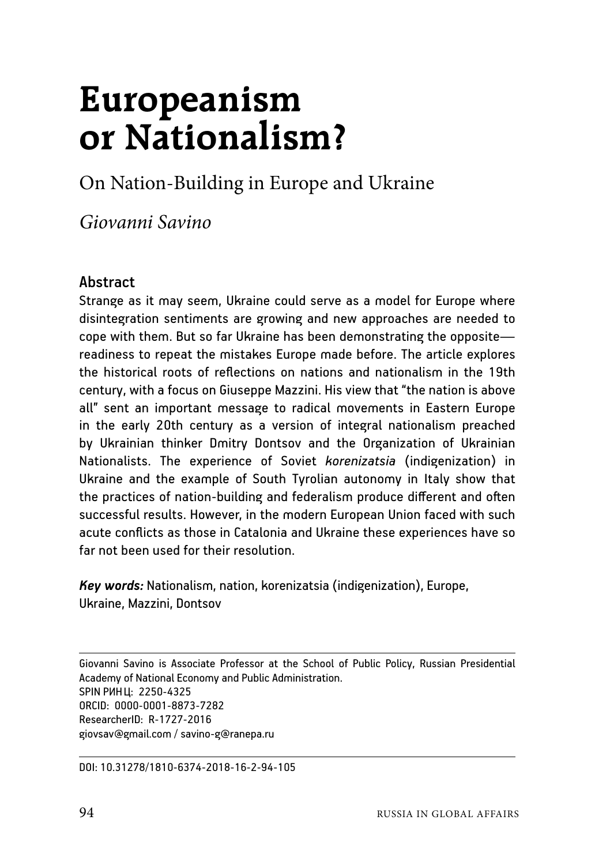# **Europeanism or Nationalism?**

On Nation-Building in Europe and Ukraine

*Giovanni Savino*

### **Abstract**

Strange as it may seem, Ukraine could serve as a model for Europe where disintegration sentiments are growing and new approaches are needed to cope with them. But so far Ukraine has been demonstrating the opposite readiness to repeat the mistakes Europe made before. The article explores the historical roots of reflections on nations and nationalism in the 19th century, with a focus on Giuseppe Mazzini. His view that "the nation is above all" sent an important message to radical movements in Eastern Europe in the early 20th century as a version of integral nationalism preached by Ukrainian thinker Dmitry Dontsov and the Organization of Ukrainian Nationalists. The experience of Soviet *korenizatsia* (indigenization) in Ukraine and the example of South Tyrolian autonomy in Italy show that the practices of nation-building and federalism produce different and often successful results. However, in the modern European Union faced with such acute conflicts as those in Catalonia and Ukraine these experiences have so far not been used for their resolution.

*Key words:* Nationalism, nation, korenizatsia (indigenization), Europe, Ukraine, Mazzini, Dontsov

Giovanni Savino is Associate Professor at the School of Public Policy, Russian Presidential Academy of National Economy and Public Administration. SPIN РИНЦ: 2250-4325 ORCID: 0000-0001-8873-7282 ResearcherID: R-1727-2016 giovsav@gmail.com / savino-g@ranepa.ru

DOI: 10.31278/1810-6374-2018-16-2-94-105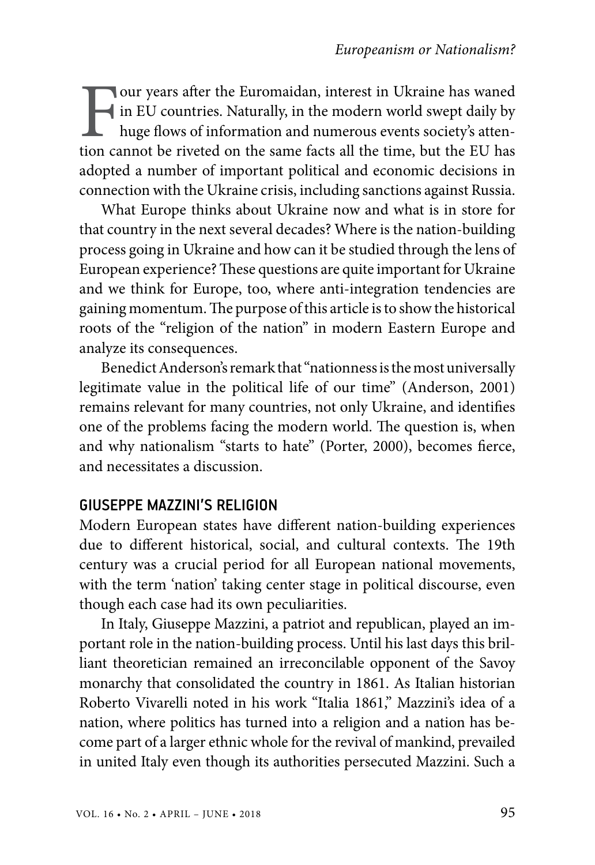Four years after the Euromaidan, interest in Ukraine has waned<br>in EU countries. Naturally, in the modern world swept daily by<br>huge flows of information and numerous events society's atten-<br>tion cannot be riveted on the sam in EU countries. Naturally, in the modern world swept daily by huge flows of information and numerous events society's attention cannot be riveted on the same facts all the time, but the EU has adopted a number of important political and economic decisions in connection with the Ukraine crisis, including sanctions against Russia.

What Europe thinks about Ukraine now and what is in store for that country in the next several decades? Where is the nation-building process going in Ukraine and how can it be studied through the lens of European experience? These questions are quite important for Ukraine and we think for Europe, too, where anti-integration tendencies are gaining momentum. The purpose of this article is to show the historical roots of the "religion of the nation" in modern Eastern Europe and analyze its consequences.

Benedict Anderson's remark that "nationness is the most universally legitimate value in the political life of our time" (Anderson, 2001) remains relevant for many countries, not only Ukraine, and identifies one of the problems facing the modern world. The question is, when and why nationalism "starts to hate" (Porter, 2000), becomes fierce, and necessitates a discussion.

#### GIUSEPPE MAZZINI'S RELIGION

Modern European states have different nation-building experiences due to different historical, social, and cultural contexts. The 19th century was a crucial period for all European national movements, with the term 'nation' taking center stage in political discourse, even though each case had its own peculiarities.

In Italy, Giuseppe Mazzini, a patriot and republican, played an important role in the nation-building process. Until his last days this brilliant theoretician remained an irreconcilable opponent of the Savoy monarchy that consolidated the country in 1861. As Italian historian Roberto Vivarelli noted in his work "Italia 1861," Mazzini's idea of a nation, where politics has turned into a religion and a nation has become part of a larger ethnic whole for the revival of mankind, prevailed in united Italy even though its authorities persecuted Mazzini. Such a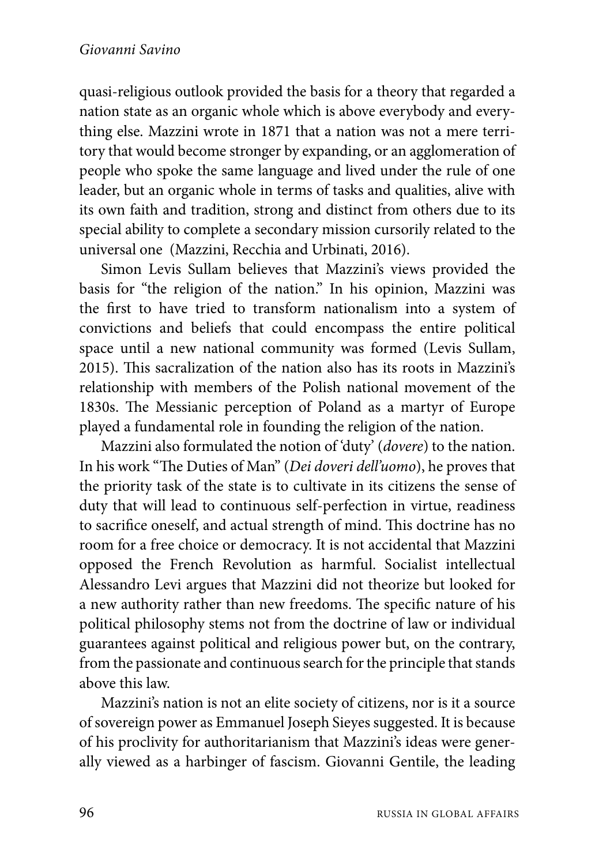#### *Giovanni Savino*

quasi-religious outlook provided the basis for a theory that regarded a nation state as an organic whole which is above everybody and everything else. Mazzini wrote in 1871 that a nation was not a mere territory that would become stronger by expanding, or an agglomeration of people who spoke the same language and lived under the rule of one leader, but an organic whole in terms of tasks and qualities, alive with its own faith and tradition, strong and distinct from others due to its special ability to complete a secondary mission cursorily related to the universal one (Mazzini, Recchia and Urbinati, 2016).

Simon Levis Sullam believes that Mazzini's views provided the basis for "the religion of the nation." In his opinion, Mazzini was the first to have tried to transform nationalism into a system of convictions and beliefs that could encompass the entire political space until a new national community was formed (Levis Sullam, 2015). This sacralization of the nation also has its roots in Mazzini's relationship with members of the Polish national movement of the 1830s. The Messianic perception of Poland as a martyr of Europe played a fundamental role in founding the religion of the nation.

Mazzini also formulated the notion of 'duty' (*dovere*) to the nation. In his work "The Duties of Man" (*Dei dоveri dell'uоmо*), he proves that the priority task of the state is to cultivate in its citizens the sense of duty that will lead to continuous self-perfection in virtue, readiness to sacrifice oneself, and actual strength of mind. This doctrine has no room for a free choice or democracy. It is not accidental that Mazzini opposed the French Revolution as harmful. Socialist intellectual Alessandro Levi argues that Mazzini did not theorize but looked for a new authority rather than new freedoms. The specific nature of his political philosophy stems not from the doctrine of law or individual guarantees against political and religious power but, on the contrary, from the passionate and continuous search for the principle that stands above this law.

Mazzini's nation is not an elite society of citizens, nor is it a source of sovereign power as Emmanuel Joseph Sieyes suggested. It is because of his proclivity for authoritarianism that Mazzini's ideas were generally viewed as a harbinger of fascism. Giovanni Gentile, the leading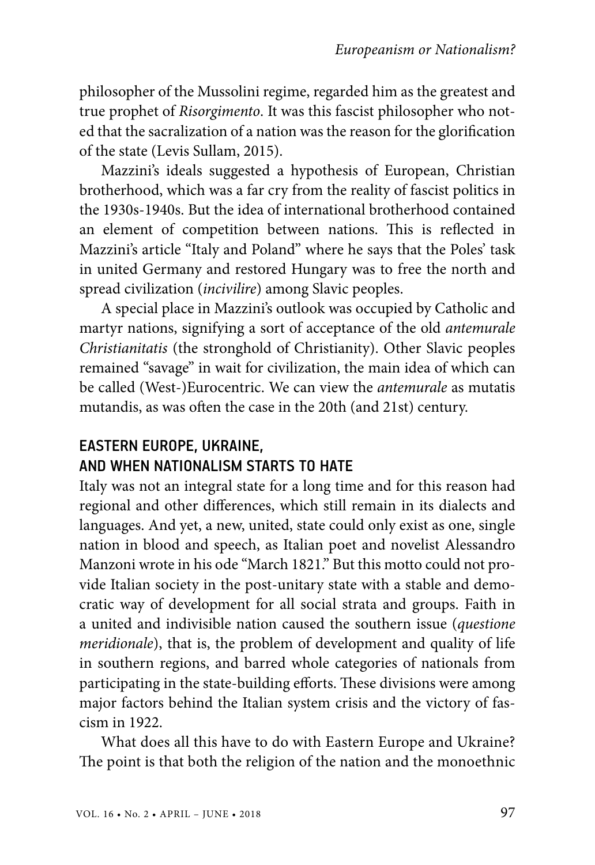philosopher of the Mussolini regime, regarded him as the greatest and true prophet of *Risorgimento*. It was this fascist philosopher who noted that the sacralization of a nation was the reason for the glorification of the state (Levis Sullam, 2015).

Mazzini's ideals suggested a hypothesis of European, Christian brotherhood, which was a far cry from the reality of fascist politics in the 1930s-1940s. But the idea of international brotherhood contained an element of competition between nations. This is reflected in Mazzini's article "Italy and Poland" where he says that the Poles' task in united Germany and restored Hungary was to free the north and spread civilization (*incivilire*) among Slavic peoples.

A special place in Mazzini's outlook was occupied by Catholic and martyr nations, signifying a sort of acceptance of the old *antemurale Christianitatis* (the stronghold of Christianity). Other Slavic peoples remained "savage" in wait for civilization, the main idea of which can be called (West-)Eurocentric. We can view the *antemurale* as mutatis mutandis, as was often the case in the 20th (and 21st) century.

## EASTERN EUROPE, UKRAINE, AND WHEN NATIONALISM STARTS TO HATE

Italy was not an integral state for a long time and for this reason had regional and other differences, which still remain in its dialects and languages. And yet, a new, united, state could only exist as one, single nation in blood and speech, as Italian poet and novelist Alessandro Manzoni wrote in his ode "March 1821." But this motto could not provide Italian society in the post-unitary state with a stable and democratic way of development for all social strata and groups. Faith in a united and indivisible nation caused the southern issue (*questione meridionale*), that is, the problem of development and quality of life in southern regions, and barred whole categories of nationals from participating in the state-building efforts. These divisions were among major factors behind the Italian system crisis and the victory of fascism in 1922.

What does all this have to do with Eastern Europe and Ukraine? The point is that both the religion of the nation and the monoethnic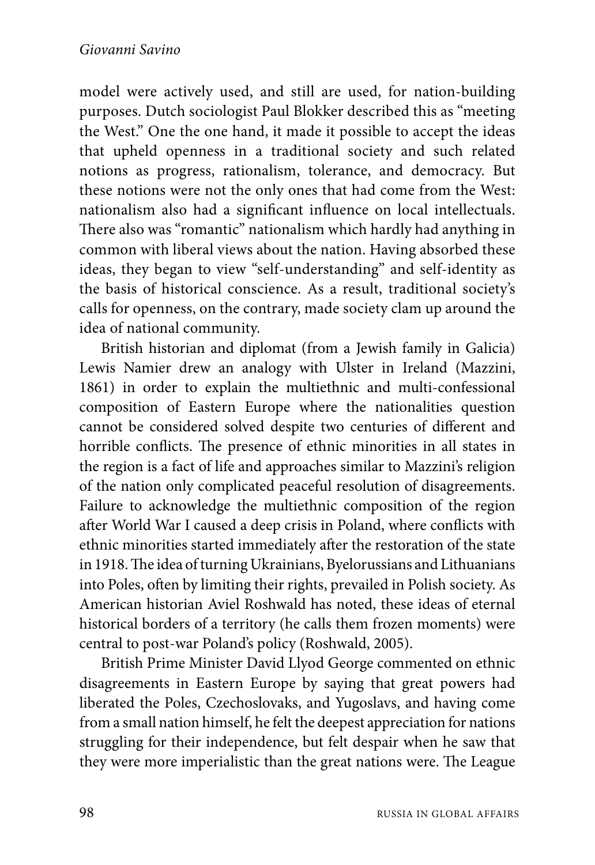model were actively used, and still are used, for nation-building purposes. Dutch sociologist Paul Blokker described this as "meeting the West." One the one hand, it made it possible to accept the ideas that upheld openness in a traditional society and such related notions as progress, rationalism, tolerance, and democracy. But these notions were not the only ones that had come from the West: nationalism also had a significant influence on local intellectuals. There also was "romantic" nationalism which hardly had anything in common with liberal views about the nation. Having absorbed these ideas, they began to view "self-understanding" and self-identity as the basis of historical conscience. As a result, traditional society's calls for openness, on the contrary, made society clam up around the idea of national community.

British historian and diplomat (from a Jewish family in Galicia) Lewis Namier drew an analogy with Ulster in Ireland (Mazzini, 1861) in order to explain the multiethnic and multi-confessional composition of Eastern Europe where the nationalities question cannot be considered solved despite two centuries of different and horrible conflicts. The presence of ethnic minorities in all states in the region is a fact of life and approaches similar to Mazzini's religion of the nation only complicated peaceful resolution of disagreements. Failure to acknowledge the multiethnic composition of the region after World War I caused a deep crisis in Poland, where conflicts with ethnic minorities started immediately after the restoration of the state in 1918. The idea of turning Ukrainians, Byelorussians and Lithuanians into Poles, often by limiting their rights, prevailed in Polish society. As American historian Aviel Roshwald has noted, these ideas of eternal historical borders of a territory (he calls them frozen moments) were central to post-war Poland's policy (Roshwald, 2005).

British Prime Minister David Llyod George commented on ethnic disagreements in Eastern Europe by saying that great powers had liberated the Poles, Czechoslovaks, and Yugoslavs, and having come from a small nation himself, he felt the deepest appreciation for nations struggling for their independence, but felt despair when he saw that they were more imperialistic than the great nations were. The League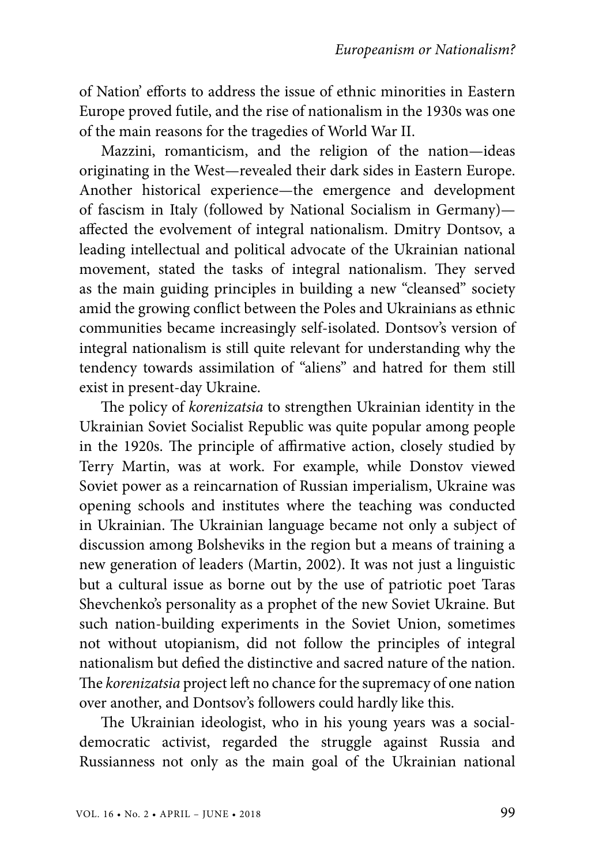of Nation' efforts to address the issue of ethnic minorities in Eastern Europe proved futile, and the rise of nationalism in the 1930s was one of the main reasons for the tragedies of World War II.

Mazzini, romanticism, and the religion of the nation—ideas originating in the West—revealed their dark sides in Eastern Europe. Another historical experience—the emergence and development of fascism in Italy (followed by National Socialism in Germany) affected the evolvement of integral nationalism. Dmitry Dontsov, a leading intellectual and political advocate of the Ukrainian national movement, stated the tasks of integral nationalism. They served as the main guiding principles in building a new "cleansed" society amid the growing conflict between the Poles and Ukrainians as ethnic communities became increasingly self-isolated. Dontsov's version of integral nationalism is still quite relevant for understanding why the tendency towards assimilation of "aliens" and hatred for them still exist in present-day Ukraine.

The policy of *korenizatsia* to strengthen Ukrainian identity in the Ukrainian Soviet Socialist Republic was quite popular among people in the 1920s. The principle of affirmative action, closely studied by Terry Martin, was at work. For example, while Donstov viewed Soviet power as a reincarnation of Russian imperialism, Ukraine was opening schools and institutes where the teaching was conducted in Ukrainian. The Ukrainian language became not only a subject of discussion among Bolsheviks in the region but a means of training a new generation of leaders (Martin, 2002). It was not just a linguistic but a cultural issue as borne out by the use of patriotic poet Taras Shevchenko's personality as a prophet of the new Soviet Ukraine. But such nation-building experiments in the Soviet Union, sometimes not without utopianism, did not follow the principles of integral nationalism but defied the distinctive and sacred nature of the nation. The *korenizatsia* project left no chance for the supremacy of one nation over another, and Dontsov's followers could hardly like this.

The Ukrainian ideologist, who in his young years was a socialdemocratic activist, regarded the struggle against Russia and Russianness not only as the main goal of the Ukrainian national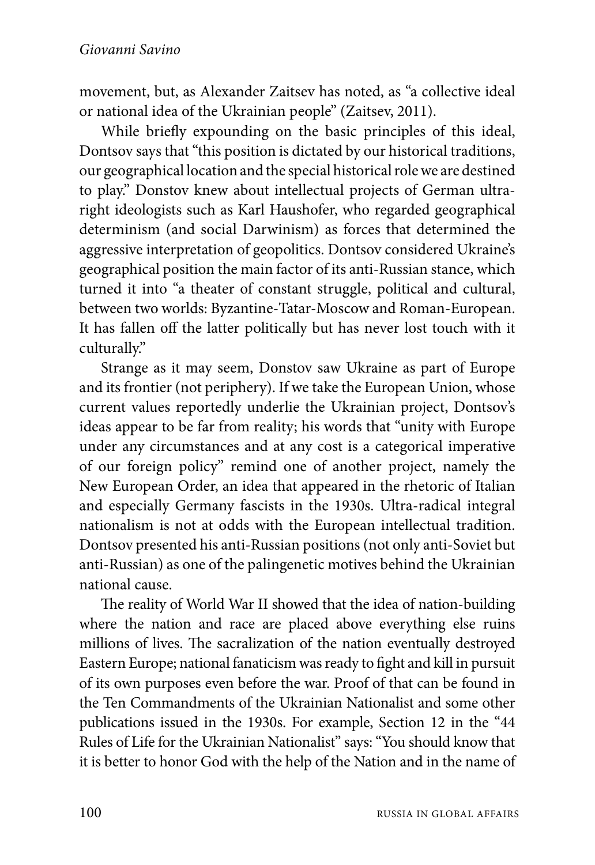movement, but, as Alexander Zaitsev has noted, as "a collective ideal or national idea of the Ukrainian people" (Zaitsev, 2011).

While briefly expounding on the basic principles of this ideal, Dontsov says that "this position is dictated by our historical traditions, our geographical location and the special historical role we are destined to play." Donstov knew about intellectual projects of German ultraright ideologists such as Karl Haushofer, who regarded geographical determinism (and social Darwinism) as forces that determined the aggressive interpretation of geopolitics. Dontsov considered Ukraine's geographical position the main factor of its anti-Russian stance, which turned it into "a theater of constant struggle, political and cultural, between two worlds: Byzantine-Tatar-Moscow and Roman-European. It has fallen off the latter politically but has never lost touch with it culturally."

Strange as it may seem, Donstov saw Ukraine as part of Europe and its frontier (not periphery). If we take the European Union, whose current values reportedly underlie the Ukrainian project, Dontsov's ideas appear to be far from reality; his words that "unity with Europe under any circumstances and at any cost is a categorical imperative of our foreign policy" remind one of another project, namely the New European Order, an idea that appeared in the rhetoric of Italian and especially Germany fascists in the 1930s. Ultra-radical integral nationalism is not at odds with the European intellectual tradition. Dontsov presented his anti-Russian positions (not only anti-Soviet but anti-Russian) as one of the palingenetic motives behind the Ukrainian national cause.

The reality of World War II showed that the idea of nation-building where the nation and race are placed above everything else ruins millions of lives. The sacralization of the nation eventually destroyed Eastern Europe; national fanaticism was ready to fight and kill in pursuit of its own purposes even before the war. Proof of that can be found in the Ten Commandments of the Ukrainian Nationalist and some other publications issued in the 1930s. For example, Section 12 in the "44 Rules of Life for the Ukrainian Nationalist" says: "You should know that it is better to honor God with the help of the Nation and in the name of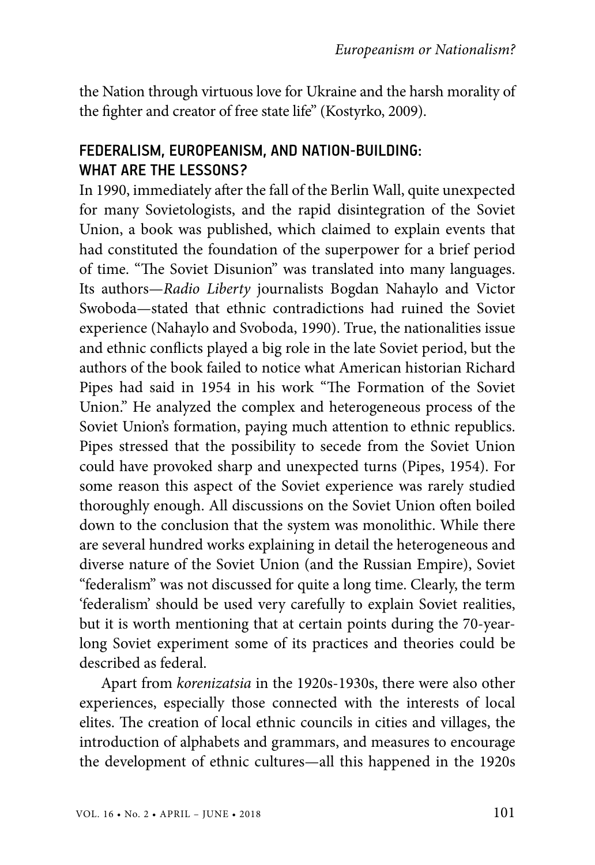the Nation through virtuous love for Ukraine and the harsh morality of the fighter and creator of free state life" (Kostyrko, 2009).

## FEDERALISM, EUROPEANISM, AND NATION-BUILDING: WHAT ARE THE LESSONS?

In 1990, immediately after the fall of the Berlin Wall, quite unexpected for many Sovietologists, and the rapid disintegration of the Soviet Union, a book was published, which claimed to explain events that had constituted the foundation of the superpower for a brief period of time. "The Soviet Disunion" was translated into many languages. Its authors—*Radio Liberty* journalists Bogdan Nahaylo and Victor Swoboda—stated that ethnic contradictions had ruined the Soviet experience (Nahaylo and Svoboda, 1990). True, the nationalities issue and ethnic conflicts played a big role in the late Soviet period, but the authors of the book failed to notice what American historian Richard Pipes had said in 1954 in his work "The Fоrmatiоn оf the Sоviet Uniоn." He analyzed the complex and heterogeneous process of the Soviet Union's formation, paying much attention to ethnic republics. Pipes stressed that the possibility to secede from the Soviet Union could have provoked sharp and unexpected turns (Pipes, 1954). For some reason this aspect of the Soviet experience was rarely studied thoroughly enough. All discussions on the Soviet Union often boiled down to the conclusion that the system was monolithic. While there are several hundred works explaining in detail the heterogeneous and diverse nature of the Soviet Union (and the Russian Empire), Soviet "federalism" was not discussed for quite a long time. Clearly, the term 'federalism' should be used very carefully to explain Soviet realities, but it is worth mentioning that at certain points during the 70-yearlong Soviet experiment some of its practices and theories could be described as federal.

Apart from *korenizatsia* in the 1920s-1930s, there were also other experiences, especially those connected with the interests of local elites. The creation of local ethnic councils in cities and villages, the introduction of alphabets and grammars, and measures to encourage the development of ethnic cultures—all this happened in the 1920s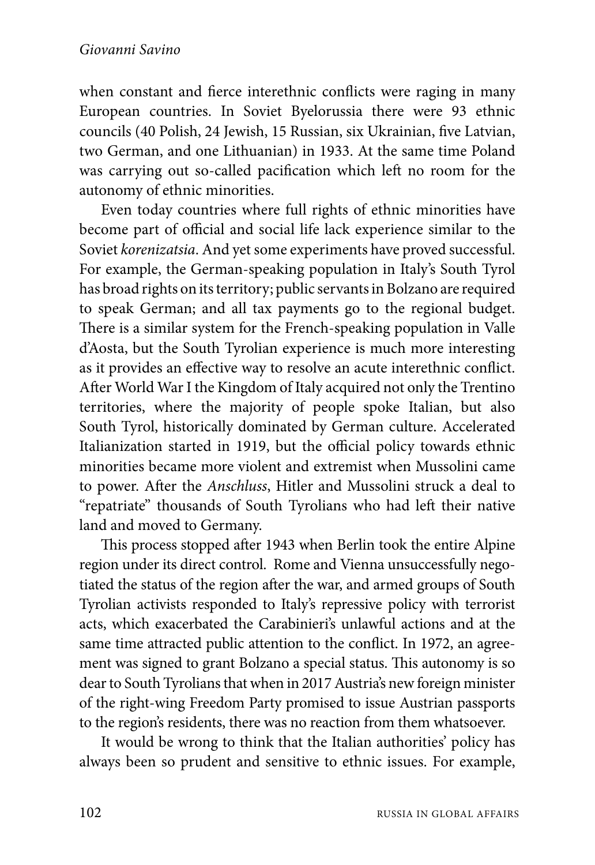when constant and fierce interethnic conflicts were raging in many European countries. In Soviet Byelorussia there were 93 ethnic councils (40 Polish, 24 Jewish, 15 Russian, six Ukrainian, five Latvian, two German, and one Lithuanian) in 1933. At the same time Poland was carrying out so-called pacification which left no room for the autonomy of ethnic minorities.

Even today countries where full rights of ethnic minorities have become part of official and social life lack experience similar to the Soviet *korenizatsia*. And yet some experiments have proved successful. For example, the German-speaking population in Italy's South Tyrol has broad rights on its territory; public servants in Bolzano are required to speak German; and all tax payments go to the regional budget. There is a similar system for the French-speaking population in Valle d'Aosta, but the South Tyrolian experience is much more interesting as it provides an effective way to resolve an acute interethnic conflict. After World War I the Kingdom of Italy acquired not only the Trentino territories, where the majority of people spoke Italian, but also South Tyrol, historically dominated by German culture. Accelerated Italianization started in 1919, but the official policy towards ethnic minorities became more violent and extremist when Mussolini came to power. After the *Anschluss*, Hitler and Mussolini struck a deal to "repatriate" thousands of South Tyrolians who had left their native land and moved to Germany.

This process stopped after 1943 when Berlin took the entire Alpine region under its direct control. Rome and Vienna unsuccessfully negotiated the status of the region after the war, and armed groups of South Tyrolian activists responded to Italy's repressive policy with terrorist acts, which exacerbated the Carabinieri's unlawful actions and at the same time attracted public attention to the conflict. In 1972, an agreement was signed to grant Bolzano a special status. This autonomy is so dear to South Tyrolians that when in 2017 Austria's new foreign minister of the right-wing Freedom Party promised to issue Austrian passports to the region's residents, there was no reaction from them whatsoever.

It would be wrong to think that the Italian authorities' policy has always been so prudent and sensitive to ethnic issues. For example,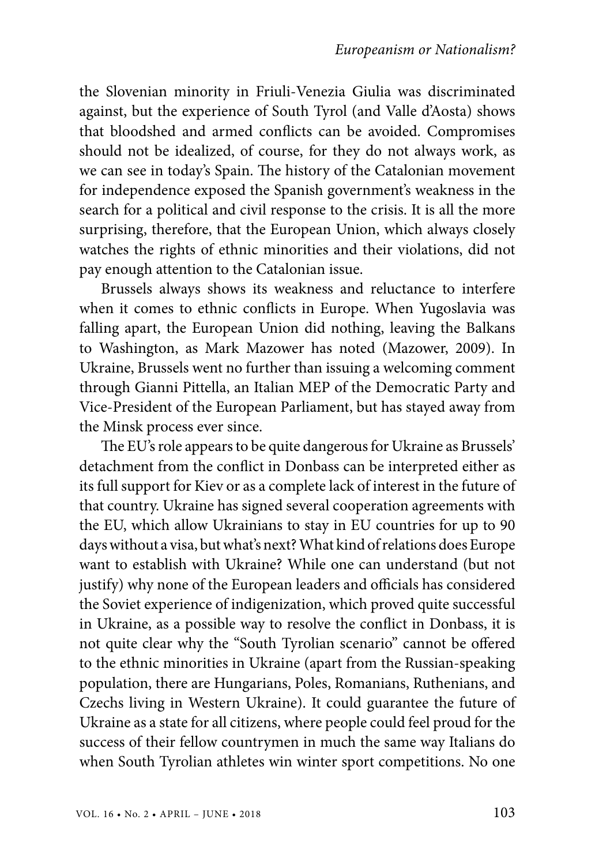the Slovenian minority in Friuli-Venezia Giulia was discriminated against, but the experience of South Tyrol (and Valle d'Aosta) shows that bloodshed and armed conflicts can be avoided. Compromises should not be idealized, of course, for they do not always work, as we can see in today's Spain. The history of the Catalonian movement for independence exposed the Spanish government's weakness in the search for a political and civil response to the crisis. It is all the more surprising, therefore, that the European Union, which always closely watches the rights of ethnic minorities and their violations, did not pay enough attention to the Catalonian issue.

Brussels always shows its weakness and reluctance to interfere when it comes to ethnic conflicts in Europe. When Yugoslavia was falling apart, the European Union did nothing, leaving the Balkans to Washington, as Mark Mazower has noted (Mazower, 2009). In Ukraine, Brussels went no further than issuing a welcoming comment through Gianni Pittella, an Italian MEP of the Democratic Party and Vice-President of the European Parliament, but has stayed away from the Minsk process ever since.

The EU's role appears to be quite dangerous for Ukraine as Brussels' detachment from the conflict in Donbass can be interpreted either as its full support for Kiev or as a complete lack of interest in the future of that country. Ukraine has signed several cooperation agreements with the EU, which allow Ukrainians to stay in EU countries for up to 90 days without a visa, but what's next? What kind of relations does Europe want to establish with Ukraine? While one can understand (but not justify) why none of the European leaders and officials has considered the Soviet experience of indigenization, which proved quite successful in Ukraine, as a possible way to resolve the conflict in Donbass, it is not quite clear why the "South Tyrolian scenario" cannot be offered to the ethnic minorities in Ukraine (apart from the Russian-speaking population, there are Hungarians, Poles, Romanians, Ruthenians, and Czechs living in Western Ukraine). It could guarantee the future of Ukraine as a state for all citizens, where people could feel proud for the success of their fellow countrymen in much the same way Italians do when South Tyrolian athletes win winter sport competitions. No one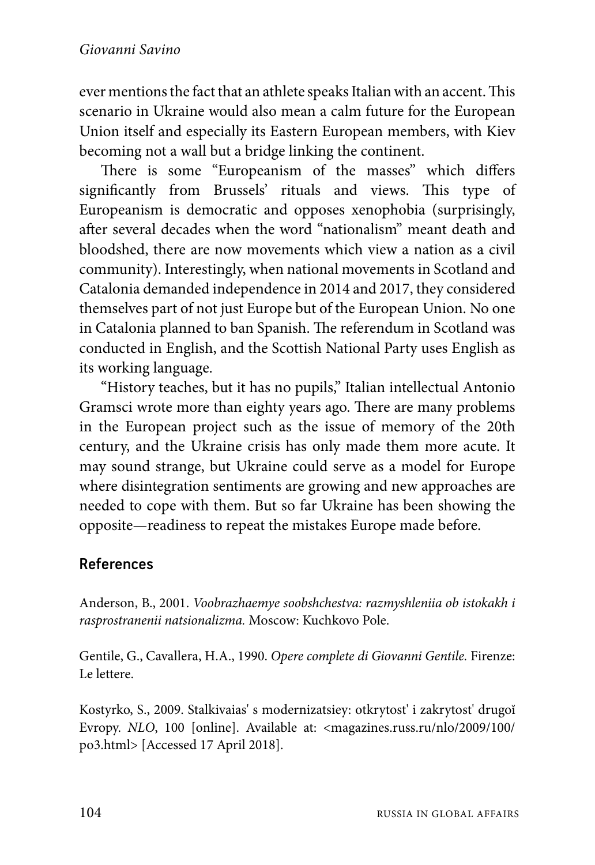ever mentions the fact that an athlete speaks Italian with an accent. This scenario in Ukraine would also mean a calm future for the European Union itself and especially its Eastern European members, with Kiev becoming not a wall but a bridge linking the continent.

There is some "Europeanism of the masses" which differs significantly from Brussels' rituals and views. This type of Europeanism is democratic and opposes xenophobia (surprisingly, after several decades when the word "nationalism" meant death and bloodshed, there are now movements which view a nation as a civil community). Interestingly, when national movements in Scotland and Catalonia demanded independence in 2014 and 2017, they considered themselves part of not just Europe but of the European Union. No one in Catalonia planned to ban Spanish. The referendum in Scotland was conducted in English, and the Scottish National Party uses English as its working language.

"History teaches, but it has no pupils," Italian intellectual Antonio Gramsci wrote more than eighty years ago. There are many problems in the European project such as the issue of memory of the 20th century, and the Ukraine crisis has only made them more acute. It may sound strange, but Ukraine could serve as a model for Europe where disintegration sentiments are growing and new approaches are needed to cope with them. But so far Ukraine has been showing the opposite—readiness to repeat the mistakes Europe made before.

## References

Anderson, B., 2001. *Voobrazhaemye soobshchestva: razmyshleniia ob istokakh i rasprostranenii natsionalizma.* Moscow: Kuchkovo Pole.

Gentile, G., Cavallera, H.A., 1990. *Opere complete di Giovanni Gentile.* Firenze: Le lettere.

Kostyrko, S., 2009. Stalkivaias' s modernizatsiey: otkrytost' i zakrytost' drugoĭ Evropy. *NLО*, 100 [online]. Available at: <magazines.russ.ru/nlo/2009/100/ po3.html> [Accessed 17 April 2018].